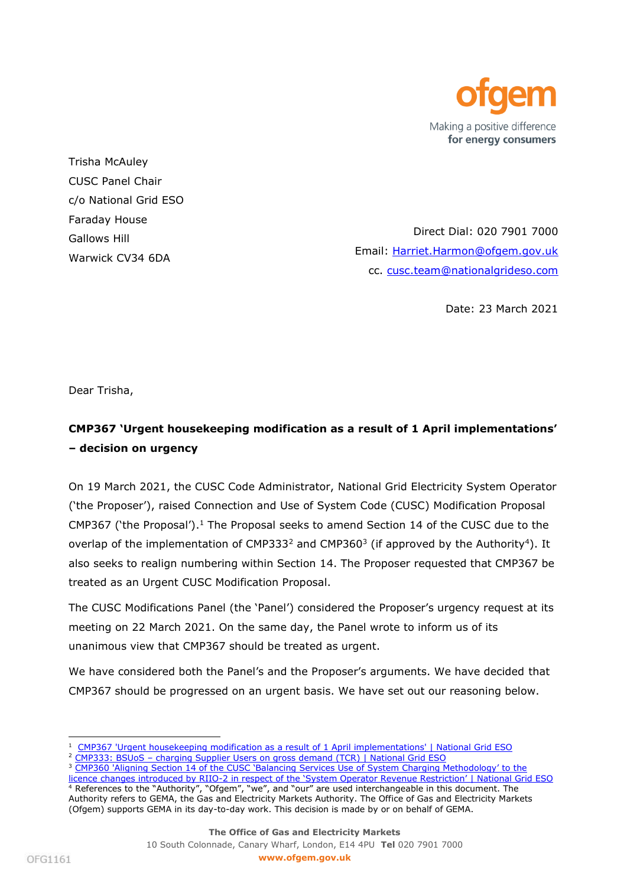

Trisha McAuley CUSC Panel Chair c/o National Grid ESO Faraday House Gallows Hill Warwick CV34 6DA

Direct Dial: 020 7901 7000 Email: [Harriet.Harmon@ofgem.gov.uk](mailto:Harriet.Harmon@ofgem.gov.uk) cc. [cusc.team@nationalgrideso.com](mailto:cusc.team@nationalgrideso.com)

Date: 23 March 2021

Dear Trisha,

# **CMP367 'Urgent housekeeping modification as a result of 1 April implementations' – decision on urgency**

On 19 March 2021, the CUSC Code Administrator, National Grid Electricity System Operator ('the Proposer'), raised Connection and Use of System Code (CUSC) Modification Proposal CMP367 ('the Proposal'). $<sup>1</sup>$  The Proposal seeks to amend Section 14 of the CUSC due to the</sup> overlap of the implementation of CMP333<sup>2</sup> and CMP360<sup>3</sup> (if approved by the Authority<sup>4</sup>). It also seeks to realign numbering within Section 14. The Proposer requested that CMP367 be treated as an Urgent CUSC Modification Proposal.

The CUSC Modifications Panel (the 'Panel') considered the Proposer's urgency request at its meeting on 22 March 2021. On the same day, the Panel wrote to inform us of its unanimous view that CMP367 should be treated as urgent.

We have considered both the Panel's and the Proposer's arguments. We have decided that CMP367 should be progressed on an urgent basis. We have set out our reasoning below.

<sup>&</sup>lt;sup>1</sup> [CMP367 'Urgent housekeeping modification as a result of 1 April implementations' | National Grid ESO](https://www.nationalgrideso.com/industry-information/codes/connection-and-use-system-code-cusc-old/modifications/cmp367-urgent)

<sup>&</sup>lt;sup>2</sup> CMP333: BSUoS – [charging Supplier Users on gross demand \(TCR\) | National Grid ESO](https://www.nationalgrideso.com/industry-information/codes/connection-and-use-system-code-cusc-old/modifications/cmp333-bsuos)

<sup>&</sup>lt;sup>3</sup> CMP360 'Aligning Section 14 of the CUSC 'Balancing Services Use of System Charging Methodology' to the licence changes introduced by RIIO-2 in r[espect of the 'System Operator Revenue Restriction' | National Grid ESO](https://www.nationalgrideso.com/industry-information/codes/connection-and-use-system-code-cusc-old/modifications/cmp360-aligning) <sup>4</sup> References to the "Authority", "Ofgem", "we", and "our" are used interchangeable in this document. The

Authority refers to GEMA, the Gas and Electricity Markets Authority. The Office of Gas and Electricity Markets (Ofgem) supports GEMA in its day-to-day work. This decision is made by or on behalf of GEMA.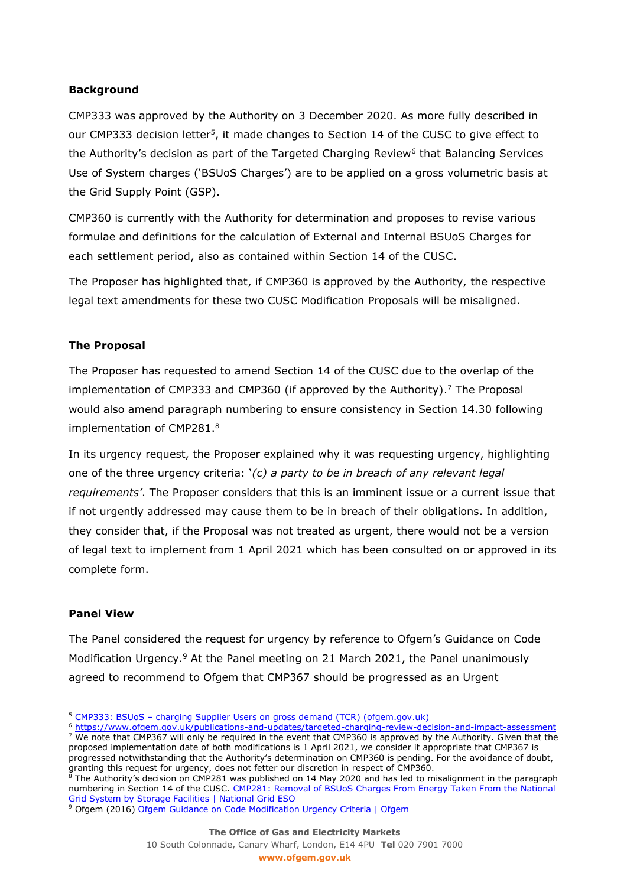## **Background**

CMP333 was approved by the Authority on 3 December 2020. As more fully described in our CMP333 decision letter<sup>5</sup>, it made changes to Section 14 of the CUSC to give effect to the Authority's decision as part of the Targeted Charging Review<sup>6</sup> that Balancing Services Use of System charges ('BSUoS Charges') are to be applied on a gross volumetric basis at the Grid Supply Point (GSP).

CMP360 is currently with the Authority for determination and proposes to revise various formulae and definitions for the calculation of External and Internal BSUoS Charges for each settlement period, also as contained within Section 14 of the CUSC.

The Proposer has highlighted that, if CMP360 is approved by the Authority, the respective legal text amendments for these two CUSC Modification Proposals will be misaligned.

### **The Proposal**

The Proposer has requested to amend Section 14 of the CUSC due to the overlap of the implementation of CMP333 and CMP360 (if approved by the Authority). <sup>7</sup> The Proposal would also amend paragraph numbering to ensure consistency in Section 14.30 following implementation of CMP281.<sup>8</sup>

In its urgency request, the Proposer explained why it was requesting urgency, highlighting one of the three urgency criteria: '*(c) a party to be in breach of any relevant legal requirements'*. The Proposer considers that this is an imminent issue or a current issue that if not urgently addressed may cause them to be in breach of their obligations. In addition, they consider that, if the Proposal was not treated as urgent, there would not be a version of legal text to implement from 1 April 2021 which has been consulted on or approved in its complete form.

#### **Panel View**

The Panel considered the request for urgency by reference to Ofgem's Guidance on Code Modification Urgency.<sup>9</sup> At the Panel meeting on 21 March 2021, the Panel unanimously agreed to recommend to Ofgem that CMP367 should be progressed as an Urgent

<sup>8</sup> The Authority's decision on CMP281 was published on 14 May 2020 and has led to misalignment in the paragraph numbering in Section 14 of the CUSC. CMP281: Removal of BSUoS Charges From Energy Taken From the National [Grid System by Storage Facilities | National Grid ESO](https://www.nationalgrideso.com/industry-information/codes/connection-and-use-system-code-cusc-old/modifications/cmp281-removal)

<sup>&</sup>lt;sup>5</sup> CMP333: BSUoS - [charging Supplier Users on gross demand \(TCR\) \(ofgem.gov.uk\)](https://www.ofgem.gov.uk/system/files/docs/2020/12/cmp333_final_version_031220.pdf)

<sup>6</sup> <https://www.ofgem.gov.uk/publications-and-updates/targeted-charging-review-decision-and-impact-assessment> <sup>7</sup> We note that CMP367 will only be required in the event that CMP360 is approved by the Authority. Given that the proposed implementation date of both modifications is 1 April 2021, we consider it appropriate that CMP367 is progressed notwithstanding that the Authority's determination on CMP360 is pending. For the avoidance of doubt, granting this request for urgency, does not fetter our discretion in respect of CMP360.

<sup>&</sup>lt;sup>9</sup> Ofgem (2016) [Ofgem Guidance on Code Modification Urgency Criteria | Ofgem](https://www.ofgem.gov.uk/publications-and-updates/ofgem-guidance-code-modification-urgency-criteria-0)